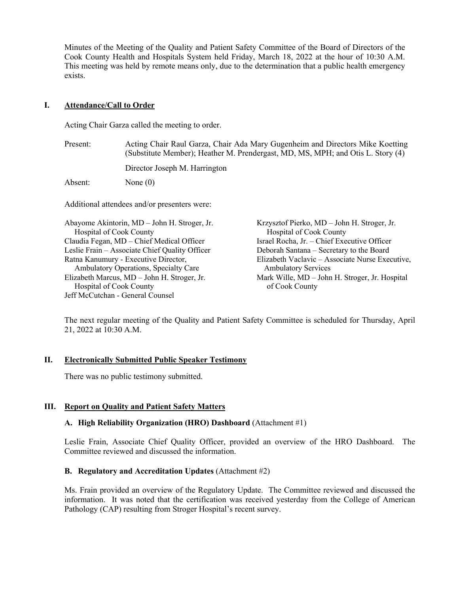Minutes of the Meeting of the Quality and Patient Safety Committee of the Board of Directors of the Cook County Health and Hospitals System held Friday, March 18, 2022 at the hour of 10:30 A.M. This meeting was held by remote means only, due to the determination that a public health emergency exists.

# **I. Attendance/Call to Order**

Acting Chair Garza called the meeting to order.

| Present:                                                                | Acting Chair Raul Garza, Chair Ada Mary Gugenheim and Directors Mike Koetting<br>(Substitute Member); Heather M. Prendergast, MD, MS, MPH; and Otis L. Story (4) |                                                                        |  |  |
|-------------------------------------------------------------------------|------------------------------------------------------------------------------------------------------------------------------------------------------------------|------------------------------------------------------------------------|--|--|
|                                                                         | Director Joseph M. Harrington                                                                                                                                    |                                                                        |  |  |
| Absent:                                                                 | None $(0)$                                                                                                                                                       |                                                                        |  |  |
| Additional attendees and/or presenters were:                            |                                                                                                                                                                  |                                                                        |  |  |
| Abayome Akintorin, MD - John H. Stroger, Jr.<br>Hospital of Cook County |                                                                                                                                                                  | Krzysztof Pierko, MD – John H. Stroger, Jr.<br>Hospital of Cook County |  |  |
| Claudia Fegan, MD – Chief Medical Officer                               |                                                                                                                                                                  | Israel Rocha, Jr. - Chief Executive Officer                            |  |  |
| Leslie Frain – Associate Chief Quality Officer                          |                                                                                                                                                                  | Deborah Santana – Secretary to the Board                               |  |  |
| Ratna Kanumury - Executive Director,                                    |                                                                                                                                                                  | Elizabeth Vaclavic – Associate Nurse Executive,                        |  |  |
| Ambulatory Operations, Specialty Care                                   |                                                                                                                                                                  | <b>Ambulatory Services</b>                                             |  |  |
| Elizabeth Marcus, MD - John H. Stroger, Jr.                             |                                                                                                                                                                  | Mark Wille, MD – John H. Stroger, Jr. Hospital                         |  |  |
| <b>Hospital of Cook County</b>                                          |                                                                                                                                                                  | of Cook County                                                         |  |  |

The next regular meeting of the Quality and Patient Safety Committee is scheduled for Thursday, April 21, 2022 at 10:30 A.M.

## **II. Electronically Submitted Public Speaker Testimony**

There was no public testimony submitted.

Jeff McCutchan - General Counsel

## **III. Report on Quality and Patient Safety Matters**

#### **A. High Reliability Organization (HRO) Dashboard** (Attachment #1)

Leslie Frain, Associate Chief Quality Officer, provided an overview of the HRO Dashboard. The Committee reviewed and discussed the information.

#### **B. Regulatory and Accreditation Updates** (Attachment #2)

Ms. Frain provided an overview of the Regulatory Update. The Committee reviewed and discussed the information. It was noted that the certification was received yesterday from the College of American Pathology (CAP) resulting from Stroger Hospital's recent survey.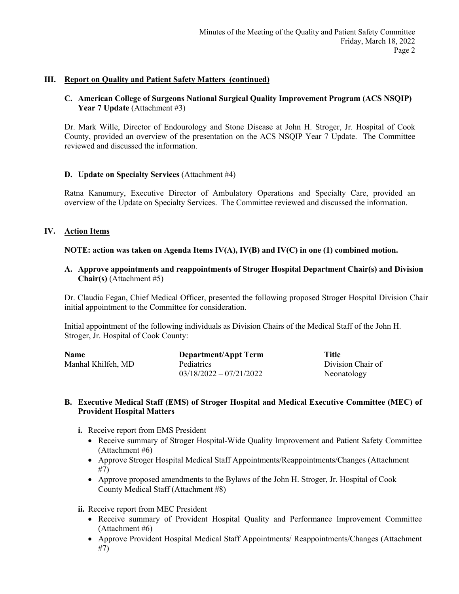## **III. Report on Quality and Patient Safety Matters (continued)**

## **C. American College of Surgeons National Surgical Quality Improvement Program (ACS NSQIP) Year 7 Update** (Attachment #3)

Dr. Mark Wille, Director of Endourology and Stone Disease at John H. Stroger, Jr. Hospital of Cook County, provided an overview of the presentation on the ACS NSQIP Year 7 Update. The Committee reviewed and discussed the information.

#### **D. Update on Specialty Services** (Attachment #4)

Ratna Kanumury, Executive Director of Ambulatory Operations and Specialty Care, provided an overview of the Update on Specialty Services. The Committee reviewed and discussed the information.

## **IV. Action Items**

## **NOTE: action was taken on Agenda Items IV(A), IV(B) and IV(C) in one (1) combined motion.**

**A. Approve appointments and reappointments of Stroger Hospital Department Chair(s) and Division Chair(s)** (Attachment #5)

Dr. Claudia Fegan, Chief Medical Officer, presented the following proposed Stroger Hospital Division Chair initial appointment to the Committee for consideration.

Initial appointment of the following individuals as Division Chairs of the Medical Staff of the John H. Stroger, Jr. Hospital of Cook County:

| Name               | <b>Department/Appt Term</b> | Title             |
|--------------------|-----------------------------|-------------------|
| Manhal Khilfeh, MD | <b>Pediatrics</b>           | Division Chair of |
|                    | $03/18/2022 - 07/21/2022$   | Neonatology       |

#### **B. Executive Medical Staff (EMS) of Stroger Hospital and Medical Executive Committee (MEC) of Provident Hospital Matters**

- **i.** Receive report from EMS President
	- Receive summary of Stroger Hospital-Wide Quality Improvement and Patient Safety Committee (Attachment #6)
	- Approve Stroger Hospital Medical Staff Appointments/Reappointments/Changes (Attachment #7)
	- Approve proposed amendments to the Bylaws of the John H. Stroger, Jr. Hospital of Cook County Medical Staff (Attachment #8)
- **ii.** Receive report from MEC President
	- Receive summary of Provident Hospital Quality and Performance Improvement Committee (Attachment #6)
	- Approve Provident Hospital Medical Staff Appointments/ Reappointments/Changes (Attachment #7)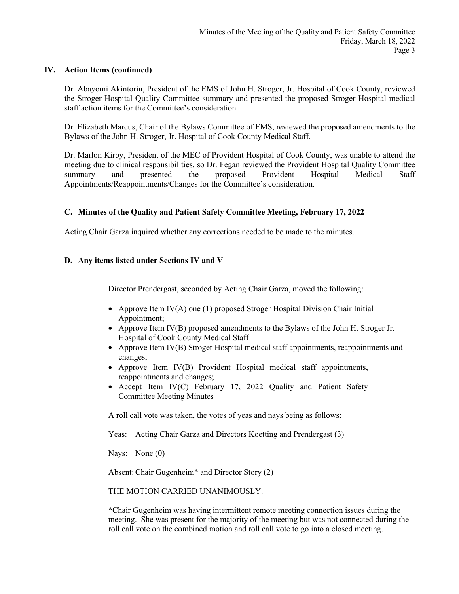# **IV. Action Items (continued)**

Dr. Abayomi Akintorin, President of the EMS of John H. Stroger, Jr. Hospital of Cook County, reviewed the Stroger Hospital Quality Committee summary and presented the proposed Stroger Hospital medical staff action items for the Committee's consideration.

Dr. Elizabeth Marcus, Chair of the Bylaws Committee of EMS, reviewed the proposed amendments to the Bylaws of the John H. Stroger, Jr. Hospital of Cook County Medical Staff.

Dr. Marlon Kirby, President of the MEC of Provident Hospital of Cook County, was unable to attend the meeting due to clinical responsibilities, so Dr. Fegan reviewed the Provident Hospital Quality Committee summary and presented the proposed Provident Hospital Medical Staff Appointments/Reappointments/Changes for the Committee's consideration.

# **C. Minutes of the Quality and Patient Safety Committee Meeting, February 17, 2022**

Acting Chair Garza inquired whether any corrections needed to be made to the minutes.

# **D. Any items listed under Sections IV and V**

Director Prendergast, seconded by Acting Chair Garza, moved the following:

- Approve Item IV(A) one (1) proposed Stroger Hospital Division Chair Initial Appointment;
- Approve Item IV(B) proposed amendments to the Bylaws of the John H. Stroger Jr. Hospital of Cook County Medical Staff
- Approve Item IV(B) Stroger Hospital medical staff appointments, reappointments and changes;
- Approve Item IV(B) Provident Hospital medical staff appointments, reappointments and changes;
- Accept Item IV(C) February 17, 2022 Quality and Patient Safety Committee Meeting Minutes

A roll call vote was taken, the votes of yeas and nays being as follows:

Yeas: Acting Chair Garza and Directors Koetting and Prendergast (3)

Nays: None (0)

Absent:Chair Gugenheim\* and Director Story (2)

THE MOTION CARRIED UNANIMOUSLY.

\*Chair Gugenheim was having intermittent remote meeting connection issues during the meeting. She was present for the majority of the meeting but was not connected during the roll call vote on the combined motion and roll call vote to go into a closed meeting.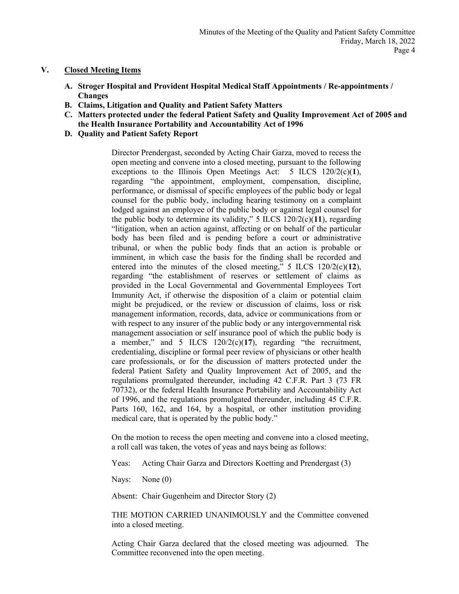# **V. Closed Meeting Items**

- **A. Stroger Hospital and Provident Hospital Medical Staff Appointments / Re-appointments / Changes**
- **B. Claims, Litigation and Quality and Patient Safety Matters**
- **C. Matters protected under the federal Patient Safety and Quality Improvement Act of 2005 and the Health Insurance Portability and Accountability Act of 1996**
- **D. Quality and Patient Safety Report**

Director Prendergast, seconded by Acting Chair Garza, moved to recess the open meeting and convene into a closed meeting, pursuant to the following exceptions to the Illinois Open Meetings Act: 5 ILCS 120/2(c)(**1**), regarding "the appointment, employment, compensation, discipline, performance, or dismissal of specific employees of the public body or legal counsel for the public body, including hearing testimony on a complaint lodged against an employee of the public body or against legal counsel for the public body to determine its validity," 5 ILCS 120/2(c)(**11**), regarding "litigation, when an action against, affecting or on behalf of the particular body has been filed and is pending before a court or administrative tribunal, or when the public body finds that an action is probable or imminent, in which case the basis for the finding shall be recorded and entered into the minutes of the closed meeting," 5 ILCS 120/2(c)(**12**), regarding "the establishment of reserves or settlement of claims as provided in the Local Governmental and Governmental Employees Tort Immunity Act, if otherwise the disposition of a claim or potential claim might be prejudiced, or the review or discussion of claims, loss or risk management information, records, data, advice or communications from or with respect to any insurer of the public body or any intergovernmental risk management association or self insurance pool of which the public body is a member," and 5 ILCS 120/2(c)(**17**), regarding "the recruitment, credentialing, discipline or formal peer review of physicians or other health care professionals, or for the discussion of matters protected under the federal Patient Safety and Quality Improvement Act of 2005, and the regulations promulgated thereunder, including 42 C.F.R. Part 3 (73 FR 70732), or the federal Health Insurance Portability and Accountability Act of 1996, and the regulations promulgated thereunder, including 45 C.F.R. Parts 160, 162, and 164, by a hospital, or other institution providing medical care, that is operated by the public body."

On the motion to recess the open meeting and convene into a closed meeting, a roll call was taken, the votes of yeas and nays being as follows:

Yeas: Acting Chair Garza and Directors Koetting and Prendergast (3)

Nays: None (0)

Absent: Chair Gugenheim and Director Story (2)

THE MOTION CARRIED UNANIMOUSLY and the Committee convened into a closed meeting.

Acting Chair Garza declared that the closed meeting was adjourned. The Committee reconvened into the open meeting.